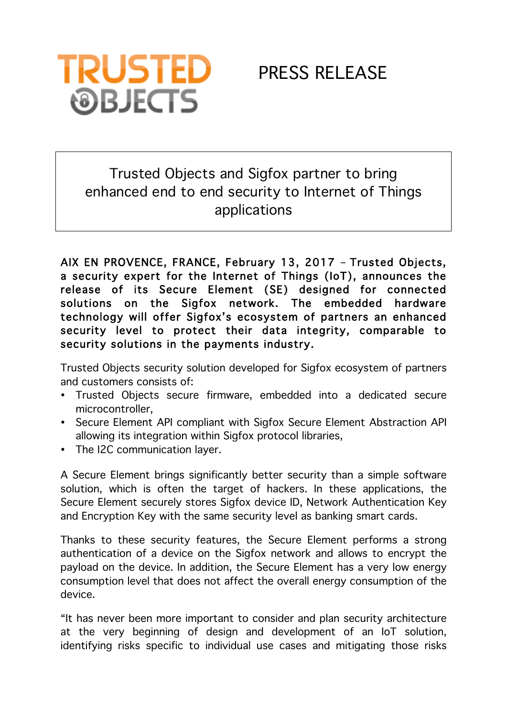

## Trusted Objects and Sigfox partner to bring enhanced end to end security to Internet of Things applications

AIX EN PROVENCE, FRANCE, February 13, 2017 – Trusted Objects, a security expert for the Internet of Things (IoT), announces the release of its Secure Element (SE) designed for connected solutions on the Sigfox network. The embedded hardware technology will offer Sigfox's ecosystem of partners an enhanced security level to protect their data integrity, comparable to security solutions in the payments industry.

Trusted Objects security solution developed for Sigfox ecosystem of partners and customers consists of:

- Trusted Objects secure firmware, embedded into a dedicated secure microcontroller,
- Secure Element API compliant with Sigfox Secure Element Abstraction API allowing its integration within Sigfox protocol libraries,
- The I2C communication layer.

A Secure Element brings significantly better security than a simple software solution, which is often the target of hackers. In these applications, the Secure Element securely stores Sigfox device ID, Network Authentication Key and Encryption Key with the same security level as banking smart cards.

Thanks to these security features, the Secure Element performs a strong authentication of a device on the Sigfox network and allows to encrypt the payload on the device. In addition, the Secure Element has a very low energy consumption level that does not affect the overall energy consumption of the device.

"It has never been more important to consider and plan security architecture at the very beginning of design and development of an IoT solution, identifying risks specific to individual use cases and mitigating those risks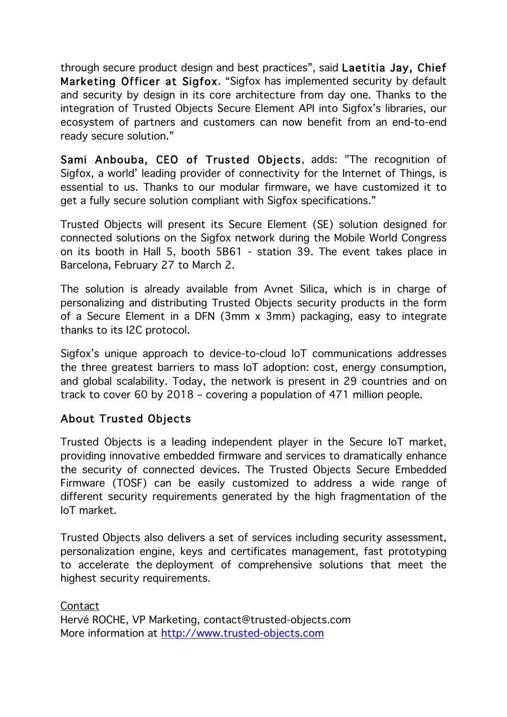through secure product design and best practices", said Laetitia Jay, Chief Marketing Officer at Sigfox. "Sigfox has implemented security by default and security by design in its core architecture from day one. Thanks to the integration of Trusted Objects Secure Element API into Sigfox's libraries, our ecosystem of partners and customers can now benefit from an end-to-end ready secure solution."

Sami Anbouba, CEO of Trusted Objects, adds: "The recognition of Sigfox, a world' leading provider of connectivity for the Internet of Things, is essential to us. Thanks to our modular firmware, we have customized it to get a fully secure solution compliant with Sigfox specifications."

Trusted Objects will present its Secure Element (SE) solution designed for connected solutions on the Sigfox network during the Mobile World Congress on its booth in Hall 5, booth 5B61 - station 39. The event takes place in Barcelona, February 27 to March 2.

The solution is already available from Avnet Silica, which is in charge of personalizing and distributing Trusted Objects security products in the form of a Secure Element in a DFN (3mm x 3mm) packaging, easy to integrate thanks to its I2C protocol.

Sigfox's unique approach to device-to-cloud IoT communications addresses the three greatest barriers to mass IoT adoption: cost, energy consumption, and global scalability. Today, the network is present in 29 countries and on track to cover 60 by 2018 – covering a population of 471 million people.

## About Trusted Objects

Trusted Objects is a leading independent player in the Secure IoT market, providing innovative embedded firmware and services to dramatically enhance the security of connected devices. The Trusted Objects Secure Embedded Firmware (TOSF) can be easily customized to address a wide range of different security requirements generated by the high fragmentation of the IoT market.

Trusted Objects also delivers a set of services including security assessment, personalization engine, keys and certificates management, fast prototyping to accelerate the deployment of comprehensive solutions that meet the highest security requirements.

Contact Hervé ROCHE, VP Marketing, contact@trusted-objects.com More information at http://www.trusted-objects.com